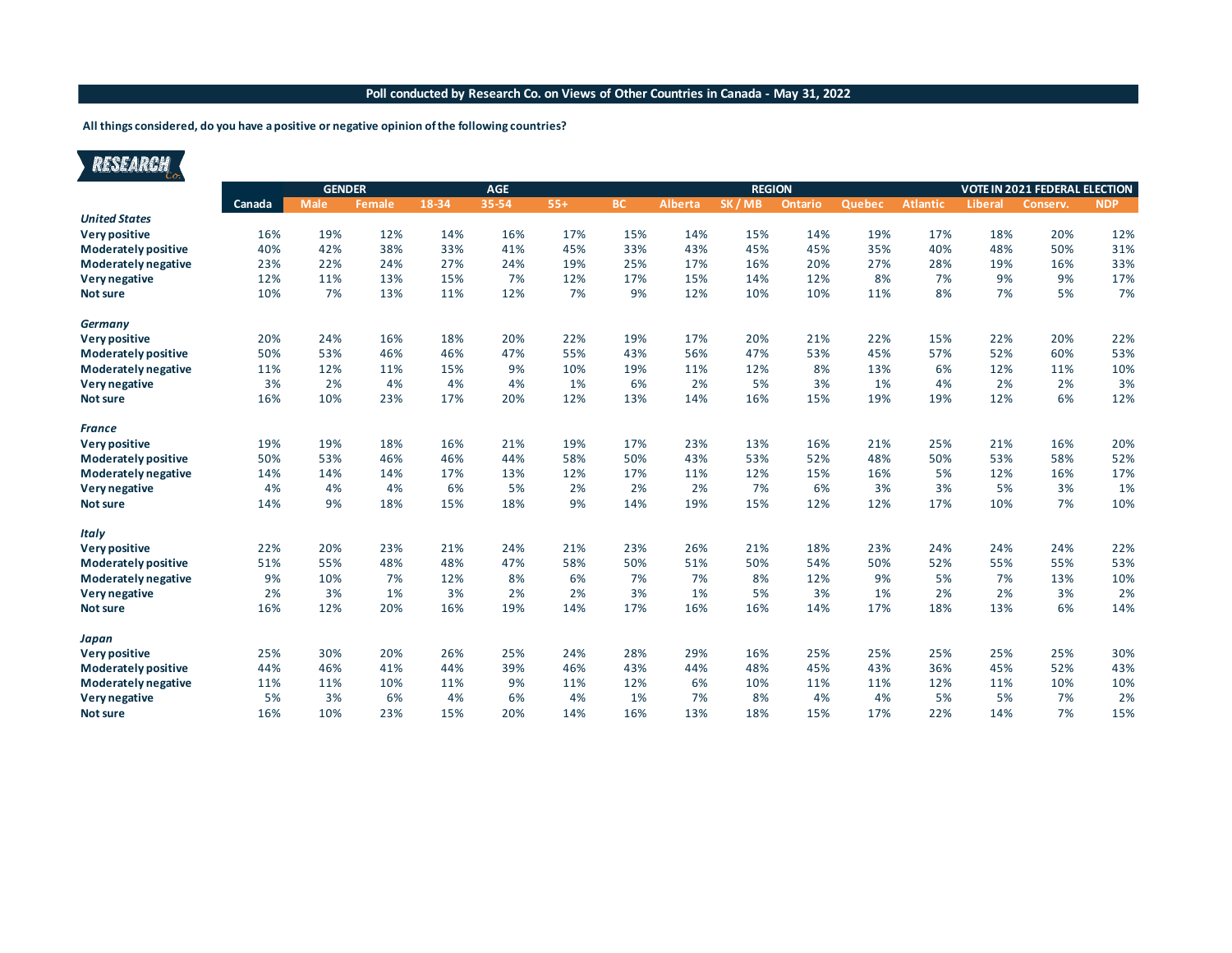#### **Poll conducted by Research Co. on Views of Other Countries in Canada - May 31, 2022**

#### **All things considered, do you have a positive or negative opinion of the following countries?**

# RESEARCH

|                            | <b>GENDER</b> |             |               |       |       |       | <b>REGION</b> |                | <b>VOTE IN 2021 FEDERAL ELECTION</b> |         |        |                 |                |          |            |
|----------------------------|---------------|-------------|---------------|-------|-------|-------|---------------|----------------|--------------------------------------|---------|--------|-----------------|----------------|----------|------------|
|                            | Canada        | <b>Male</b> | <b>Female</b> | 18-34 | 35-54 | $55+$ | BC            | <b>Alberta</b> | SK/MB                                | Ontario | Quebec | <b>Atlantic</b> | <b>Liberal</b> | Conserv. | <b>NDP</b> |
| <b>United States</b>       |               |             |               |       |       |       |               |                |                                      |         |        |                 |                |          |            |
| <b>Very positive</b>       | 16%           | 19%         | 12%           | 14%   | 16%   | 17%   | 15%           | 14%            | 15%                                  | 14%     | 19%    | 17%             | 18%            | 20%      | 12%        |
| <b>Moderately positive</b> | 40%           | 42%         | 38%           | 33%   | 41%   | 45%   | 33%           | 43%            | 45%                                  | 45%     | 35%    | 40%             | 48%            | 50%      | 31%        |
| Moderately negative        | 23%           | 22%         | 24%           | 27%   | 24%   | 19%   | 25%           | 17%            | 16%                                  | 20%     | 27%    | 28%             | 19%            | 16%      | 33%        |
| Very negative              | 12%           | 11%         | 13%           | 15%   | 7%    | 12%   | 17%           | 15%            | 14%                                  | 12%     | 8%     | 7%              | 9%             | 9%       | 17%        |
| <b>Not sure</b>            | 10%           | 7%          | 13%           | 11%   | 12%   | 7%    | 9%            | 12%            | 10%                                  | 10%     | 11%    | 8%              | 7%             | 5%       | 7%         |
| <b>Germany</b>             |               |             |               |       |       |       |               |                |                                      |         |        |                 |                |          |            |
| Very positive              | 20%           | 24%         | 16%           | 18%   | 20%   | 22%   | 19%           | 17%            | 20%                                  | 21%     | 22%    | 15%             | 22%            | 20%      | 22%        |
| <b>Moderately positive</b> | 50%           | 53%         | 46%           | 46%   | 47%   | 55%   | 43%           | 56%            | 47%                                  | 53%     | 45%    | 57%             | 52%            | 60%      | 53%        |
| <b>Moderately negative</b> | 11%           | 12%         | 11%           | 15%   | 9%    | 10%   | 19%           | 11%            | 12%                                  | 8%      | 13%    | 6%              | 12%            | 11%      | 10%        |
| Very negative              | 3%            | 2%          | 4%            | 4%    | 4%    | 1%    | 6%            | 2%             | 5%                                   | 3%      | 1%     | 4%              | 2%             | 2%       | 3%         |
| <b>Not sure</b>            | 16%           | 10%         | 23%           | 17%   | 20%   | 12%   | 13%           | 14%            | 16%                                  | 15%     | 19%    | 19%             | 12%            | 6%       | 12%        |
| <b>France</b>              |               |             |               |       |       |       |               |                |                                      |         |        |                 |                |          |            |
| <b>Very positive</b>       | 19%           | 19%         | 18%           | 16%   | 21%   | 19%   | 17%           | 23%            | 13%                                  | 16%     | 21%    | 25%             | 21%            | 16%      | 20%        |
| <b>Moderately positive</b> | 50%           | 53%         | 46%           | 46%   | 44%   | 58%   | 50%           | 43%            | 53%                                  | 52%     | 48%    | 50%             | 53%            | 58%      | 52%        |
| <b>Moderately negative</b> | 14%           | 14%         | 14%           | 17%   | 13%   | 12%   | 17%           | 11%            | 12%                                  | 15%     | 16%    | 5%              | 12%            | 16%      | 17%        |
| Very negative              | 4%            | 4%          | 4%            | 6%    | 5%    | 2%    | 2%            | 2%             | 7%                                   | 6%      | 3%     | 3%              | 5%             | 3%       | 1%         |
| <b>Not sure</b>            | 14%           | 9%          | 18%           | 15%   | 18%   | 9%    | 14%           | 19%            | 15%                                  | 12%     | 12%    | 17%             | 10%            | 7%       | 10%        |
| <b>Italy</b>               |               |             |               |       |       |       |               |                |                                      |         |        |                 |                |          |            |
| Very positive              | 22%           | 20%         | 23%           | 21%   | 24%   | 21%   | 23%           | 26%            | 21%                                  | 18%     | 23%    | 24%             | 24%            | 24%      | 22%        |
| <b>Moderately positive</b> | 51%           | 55%         | 48%           | 48%   | 47%   | 58%   | 50%           | 51%            | 50%                                  | 54%     | 50%    | 52%             | 55%            | 55%      | 53%        |
| <b>Moderately negative</b> | 9%            | 10%         | 7%            | 12%   | 8%    | 6%    | 7%            | 7%             | 8%                                   | 12%     | 9%     | 5%              | 7%             | 13%      | 10%        |
| Very negative              | 2%            | 3%          | 1%            | 3%    | 2%    | 2%    | 3%            | 1%             | 5%                                   | 3%      | 1%     | 2%              | 2%             | 3%       | 2%         |
| <b>Not sure</b>            | 16%           | 12%         | 20%           | 16%   | 19%   | 14%   | 17%           | 16%            | 16%                                  | 14%     | 17%    | 18%             | 13%            | 6%       | 14%        |
| Japan                      |               |             |               |       |       |       |               |                |                                      |         |        |                 |                |          |            |
| <b>Very positive</b>       | 25%           | 30%         | 20%           | 26%   | 25%   | 24%   | 28%           | 29%            | 16%                                  | 25%     | 25%    | 25%             | 25%            | 25%      | 30%        |
| <b>Moderately positive</b> | 44%           | 46%         | 41%           | 44%   | 39%   | 46%   | 43%           | 44%            | 48%                                  | 45%     | 43%    | 36%             | 45%            | 52%      | 43%        |
| Moderately negative        | 11%           | 11%         | 10%           | 11%   | 9%    | 11%   | 12%           | 6%             | 10%                                  | 11%     | 11%    | 12%             | 11%            | 10%      | 10%        |
| Very negative              | 5%            | 3%          | 6%            | 4%    | 6%    | 4%    | 1%            | 7%             | 8%                                   | 4%      | 4%     | 5%              | 5%             | 7%       | 2%         |
| <b>Not sure</b>            | 16%           | 10%         | 23%           | 15%   | 20%   | 14%   | 16%           | 13%            | 18%                                  | 15%     | 17%    | 22%             | 14%            | 7%       | 15%        |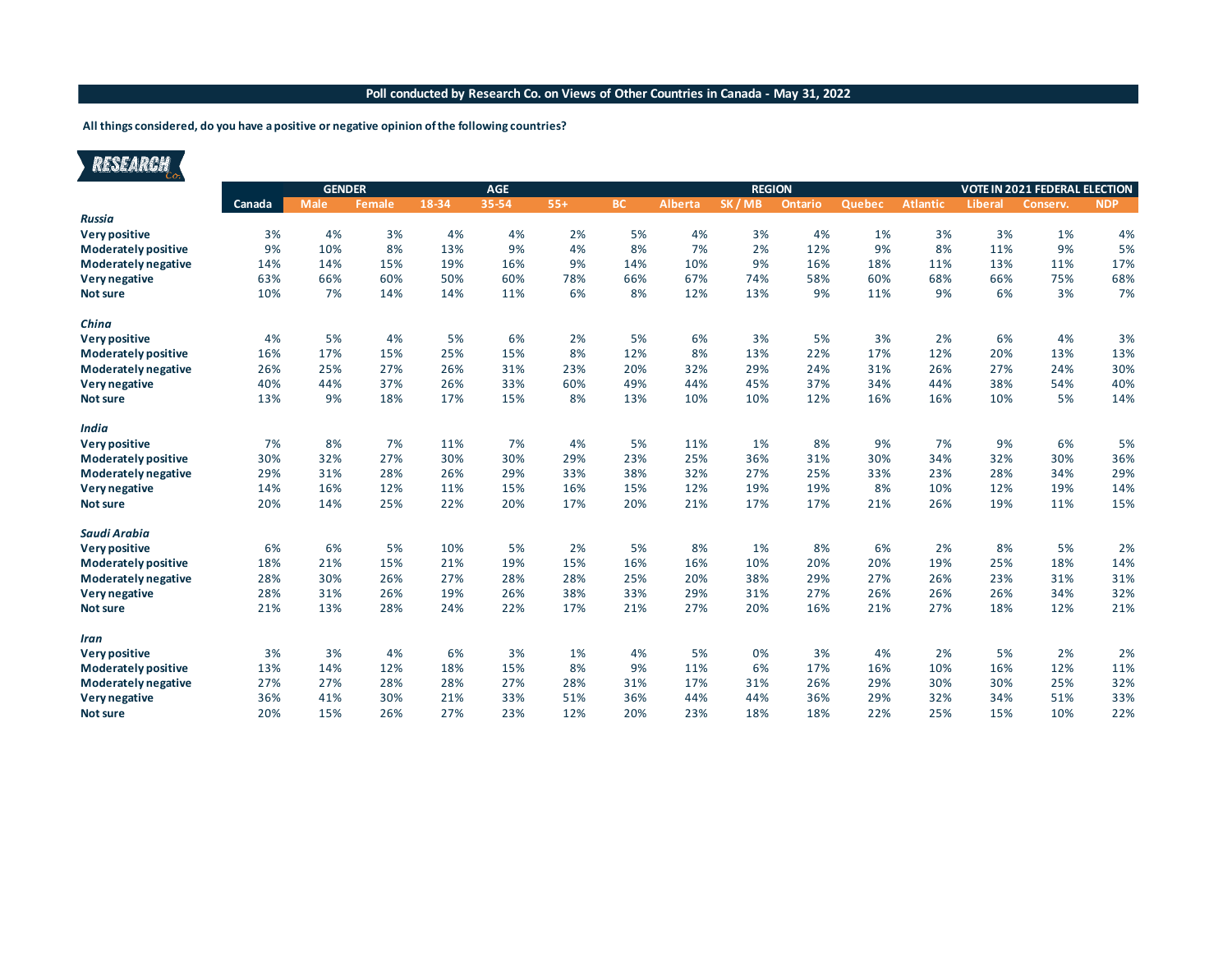### **Poll conducted by Research Co. on Views of Other Countries in Canada - May 31, 2022**

#### **All things considered, do you have a positive or negative opinion of the following countries?**

| ESEARCH |
|---------|
|         |
|         |

|                            | <b>GENDER</b> |             |               |       | <b>AGE</b> |       |           |                | <b>REGION</b> |         | <b>VOTE IN 2021 FEDERAL ELECTION</b> |                 |                |          |            |
|----------------------------|---------------|-------------|---------------|-------|------------|-------|-----------|----------------|---------------|---------|--------------------------------------|-----------------|----------------|----------|------------|
|                            | Canada        | <b>Male</b> | <b>Female</b> | 18-34 | 35-54      | $55+$ | <b>BC</b> | <b>Alberta</b> | SK/MB         | Ontario | Quebec                               | <b>Atlantic</b> | <b>Liberal</b> | Conserv. | <b>NDP</b> |
| <b>Russia</b>              |               |             |               |       |            |       |           |                |               |         |                                      |                 |                |          |            |
| Very positive              | 3%            | 4%          | 3%            | 4%    | 4%         | 2%    | 5%        | 4%             | 3%            | 4%      | 1%                                   | 3%              | 3%             | 1%       | 4%         |
| <b>Moderately positive</b> | 9%            | 10%         | 8%            | 13%   | 9%         | 4%    | 8%        | 7%             | 2%            | 12%     | 9%                                   | 8%              | 11%            | 9%       | 5%         |
| Moderately negative        | 14%           | 14%         | 15%           | 19%   | 16%        | 9%    | 14%       | 10%            | 9%            | 16%     | 18%                                  | 11%             | 13%            | 11%      | 17%        |
| Very negative              | 63%           | 66%         | 60%           | 50%   | 60%        | 78%   | 66%       | 67%            | 74%           | 58%     | 60%                                  | 68%             | 66%            | 75%      | 68%        |
| <b>Not sure</b>            | 10%           | 7%          | 14%           | 14%   | 11%        | 6%    | 8%        | 12%            | 13%           | 9%      | 11%                                  | 9%              | 6%             | 3%       | 7%         |
| China                      |               |             |               |       |            |       |           |                |               |         |                                      |                 |                |          |            |
| Very positive              | 4%            | 5%          | 4%            | 5%    | 6%         | 2%    | 5%        | 6%             | 3%            | 5%      | 3%                                   | 2%              | 6%             | 4%       | 3%         |
| <b>Moderately positive</b> | 16%           | 17%         | 15%           | 25%   | 15%        | 8%    | 12%       | 8%             | 13%           | 22%     | 17%                                  | 12%             | 20%            | 13%      | 13%        |
| Moderately negative        | 26%           | 25%         | 27%           | 26%   | 31%        | 23%   | 20%       | 32%            | 29%           | 24%     | 31%                                  | 26%             | 27%            | 24%      | 30%        |
| Very negative              | 40%           | 44%         | 37%           | 26%   | 33%        | 60%   | 49%       | 44%            | 45%           | 37%     | 34%                                  | 44%             | 38%            | 54%      | 40%        |
| <b>Not sure</b>            | 13%           | 9%          | 18%           | 17%   | 15%        | 8%    | 13%       | 10%            | 10%           | 12%     | 16%                                  | 16%             | 10%            | 5%       | 14%        |
| <b>India</b>               |               |             |               |       |            |       |           |                |               |         |                                      |                 |                |          |            |
| Very positive              | 7%            | 8%          | 7%            | 11%   | 7%         | 4%    | 5%        | 11%            | 1%            | 8%      | 9%                                   | 7%              | 9%             | 6%       | 5%         |
| <b>Moderately positive</b> | 30%           | 32%         | 27%           | 30%   | 30%        | 29%   | 23%       | 25%            | 36%           | 31%     | 30%                                  | 34%             | 32%            | 30%      | 36%        |
| Moderately negative        | 29%           | 31%         | 28%           | 26%   | 29%        | 33%   | 38%       | 32%            | 27%           | 25%     | 33%                                  | 23%             | 28%            | 34%      | 29%        |
| Very negative              | 14%           | 16%         | 12%           | 11%   | 15%        | 16%   | 15%       | 12%            | 19%           | 19%     | 8%                                   | 10%             | 12%            | 19%      | 14%        |
| <b>Not sure</b>            | 20%           | 14%         | 25%           | 22%   | 20%        | 17%   | 20%       | 21%            | 17%           | 17%     | 21%                                  | 26%             | 19%            | 11%      | 15%        |
| Saudi Arabia               |               |             |               |       |            |       |           |                |               |         |                                      |                 |                |          |            |
| Very positive              | 6%            | 6%          | 5%            | 10%   | 5%         | 2%    | 5%        | 8%             | 1%            | 8%      | 6%                                   | 2%              | 8%             | 5%       | 2%         |
| <b>Moderately positive</b> | 18%           | 21%         | 15%           | 21%   | 19%        | 15%   | 16%       | 16%            | 10%           | 20%     | 20%                                  | 19%             | 25%            | 18%      | 14%        |
| Moderately negative        | 28%           | 30%         | 26%           | 27%   | 28%        | 28%   | 25%       | 20%            | 38%           | 29%     | 27%                                  | 26%             | 23%            | 31%      | 31%        |
| Very negative              | 28%           | 31%         | 26%           | 19%   | 26%        | 38%   | 33%       | 29%            | 31%           | 27%     | 26%                                  | 26%             | 26%            | 34%      | 32%        |
| <b>Not sure</b>            | 21%           | 13%         | 28%           | 24%   | 22%        | 17%   | 21%       | 27%            | 20%           | 16%     | 21%                                  | 27%             | 18%            | 12%      | 21%        |
| Iran                       |               |             |               |       |            |       |           |                |               |         |                                      |                 |                |          |            |
| Very positive              | 3%            | 3%          | 4%            | 6%    | 3%         | 1%    | 4%        | 5%             | 0%            | 3%      | 4%                                   | 2%              | 5%             | 2%       | 2%         |
| <b>Moderately positive</b> | 13%           | 14%         | 12%           | 18%   | 15%        | 8%    | 9%        | 11%            | 6%            | 17%     | 16%                                  | 10%             | 16%            | 12%      | 11%        |
| Moderately negative        | 27%           | 27%         | 28%           | 28%   | 27%        | 28%   | 31%       | 17%            | 31%           | 26%     | 29%                                  | 30%             | 30%            | 25%      | 32%        |
| Very negative              | 36%           | 41%         | 30%           | 21%   | 33%        | 51%   | 36%       | 44%            | 44%           | 36%     | 29%                                  | 32%             | 34%            | 51%      | 33%        |
| <b>Not sure</b>            | 20%           | 15%         | 26%           | 27%   | 23%        | 12%   | 20%       | 23%            | 18%           | 18%     | 22%                                  | 25%             | 15%            | 10%      | 22%        |